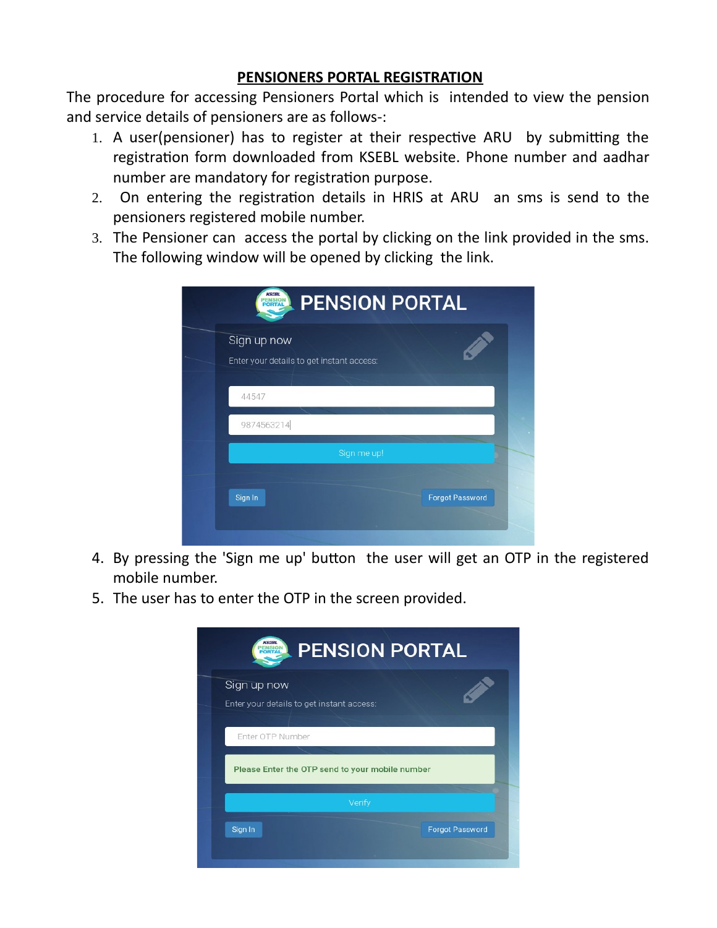## **PENSIONERS PORTAL REGISTRATION**

The procedure for accessing Pensioners Portal which is intended to view the pension and service details of pensioners are as follows-:

- 1. A user(pensioner) has to register at their respective ARU by submitting the registration form downloaded from KSEBL website. Phone number and aadhar number are mandatory for registration purpose.
- 2. On entering the registration details in HRIS at ARU an sms is send to the pensioners registered mobile number.
- 3. The Pensioner can access the portal by clicking on the link provided in the sms. The following window will be opened by clicking the link.

| Enter your details to get instant access: |  |
|-------------------------------------------|--|
| 44547                                     |  |
| 9874563214                                |  |
| Sign me up!                               |  |

- 4. By pressing the 'Sign me up' button the user will get an OTP in the registered mobile number.
- 5. The user has to enter the OTP in the screen provided.

| <b>PENSION PORTAL</b>                                               |                        |
|---------------------------------------------------------------------|------------------------|
| Sign up now<br>Enter your details to get instant access:            |                        |
| Enter OTP Number<br>Please Enter the OTP send to your mobile number |                        |
| Verify                                                              |                        |
| Sign In                                                             | <b>Forgot Password</b> |